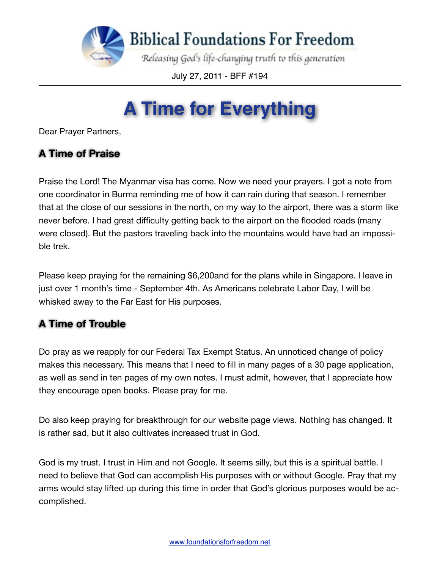

July 27, 2011 - BFF #194

## **A Time for Everything**

Dear Prayer Partners,

## **A Time of Praise**

Praise the Lord! The Myanmar visa has come. Now we need your prayers. I got a note from one coordinator in Burma reminding me of how it can rain during that season. I remember that at the close of our sessions in the north, on my way to the airport, there was a storm like never before. I had great difficulty getting back to the airport on the flooded roads (many were closed). But the pastors traveling back into the mountains would have had an impossible trek.

Please keep praying for the remaining \$6,200and for the plans while in Singapore. I leave in just over 1 month's time - September 4th. As Americans celebrate Labor Day, I will be whisked away to the Far East for His purposes.

## **A Time of Trouble**

Do pray as we reapply for our Federal Tax Exempt Status. An unnoticed change of policy makes this necessary. This means that I need to fill in many pages of a 30 page application, as well as send in ten pages of my own notes. I must admit, however, that I appreciate how they encourage open books. Please pray for me.

Do also keep praying for breakthrough for our website page views. Nothing has changed. It is rather sad, but it also cultivates increased trust in God.

God is my trust. I trust in Him and not Google. It seems silly, but this is a spiritual battle. I need to believe that God can accomplish His purposes with or without Google. Pray that my arms would stay lifted up during this time in order that God's glorious purposes would be accomplished.